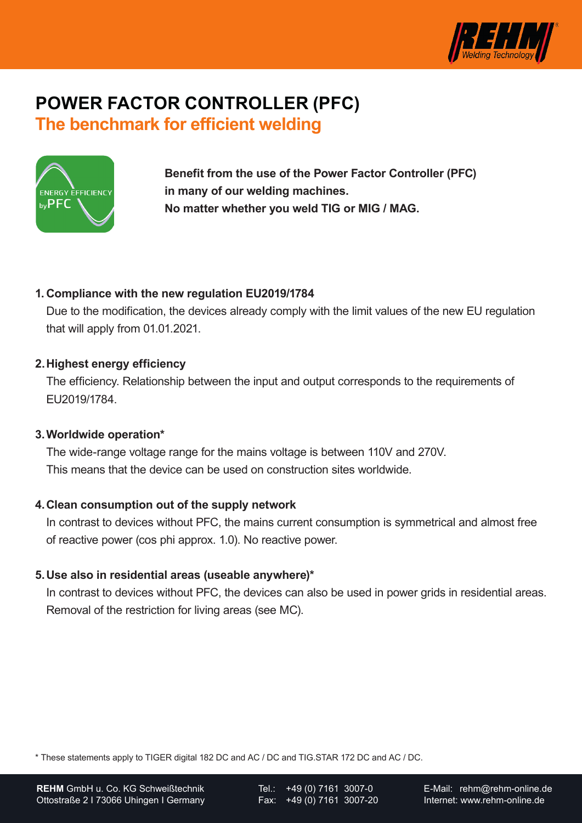

# **POWER FACTOR CONTROLLER (PFC) The benchmark for efficient welding**



**Benefit from the use of the Power Factor Controller (PFC) in many of our welding machines. No matter whether you weld TIG or MIG / MAG.**

### **1. Compliance with the new regulation EU2019/1784**

Due to the modification, the devices already comply with the limit values of the new EU regulation that will apply from 01.01.2021.

#### **2.Highest energy efficiency**

The efficiency. Relationship between the input and output corresponds to the requirements of EU2019/1784.

#### **3.Worldwide operation\***

The wide-range voltage range for the mains voltage is between 110V and 270V. This means that the device can be used on construction sites worldwide.

#### **4.Clean consumption out of the supply network**

In contrast to devices without PFC, the mains current consumption is symmetrical and almost free of reactive power (cos phi approx. 1.0). No reactive power.

#### **5.Use also in residential areas (useable anywhere)\***

In contrast to devices without PFC, the devices can also be used in power grids in residential areas. Removal of the restriction for living areas (see MC).

\* These statements apply to TIGER digital 182 DC and AC / DC and TIG.STAR 172 DC and AC / DC.

Tel.: +49 (0) 7161 3007-0 Fax: +49 (0) 7161 3007-20